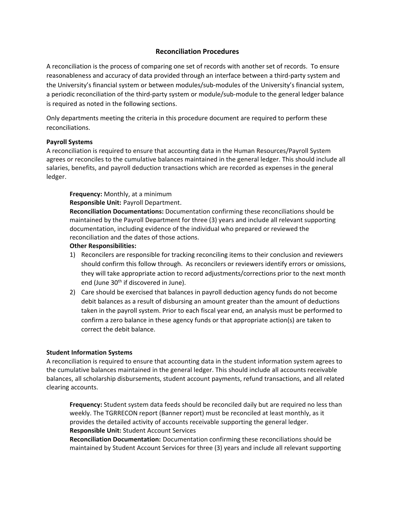# **Reconciliation Procedures**

A reconciliation is the process of comparing one set of records with another set of records. To ensure reasonableness and accuracy of data provided through an interface between a third‐party system and the University's financial system or between modules/sub-modules of the University's financial system, a periodic reconciliation of the third‐party system or module/sub‐module to the general ledger balance is required as noted in the following sections.

Only departments meeting the criteria in this procedure document are required to perform these reconciliations.

## **Payroll Systems**

A reconciliation is required to ensure that accounting data in the Human Resources/Payroll System agrees or reconciles to the cumulative balances maintained in the general ledger. This should include all salaries, benefits, and payroll deduction transactions which are recorded as expenses in the general ledger.

**Frequency:** Monthly, at a minimum

**Responsible Unit:** Payroll Department.

**Reconciliation Documentations:** Documentation confirming these reconciliations should be maintained by the Payroll Department for three (3) years and include all relevant supporting documentation, including evidence of the individual who prepared or reviewed the reconciliation and the dates of those actions.

#### **Other Responsibilities:**

- 1) Reconcilers are responsible for tracking reconciling items to their conclusion and reviewers should confirm this follow through. As reconcilers or reviewers identify errors or omissions, they will take appropriate action to record adjustments/corrections prior to the next month end (June 30<sup>th</sup> if discovered in June).
- 2) Care should be exercised that balances in payroll deduction agency funds do not become debit balances as a result of disbursing an amount greater than the amount of deductions taken in the payroll system. Prior to each fiscal year end, an analysis must be performed to confirm a zero balance in these agency funds or that appropriate action(s) are taken to correct the debit balance.

#### **Student Information Systems**

A reconciliation is required to ensure that accounting data in the student information system agrees to the cumulative balances maintained in the general ledger. This should include all accounts receivable balances, all scholarship disbursements, student account payments, refund transactions, and all related clearing accounts.

**Frequency:** Student system data feeds should be reconciled daily but are required no less than weekly. The TGRRECON report (Banner report) must be reconciled at least monthly, as it provides the detailed activity of accounts receivable supporting the general ledger. **Responsible Unit:** Student Account Services

**Reconciliation Documentation:** Documentation confirming these reconciliations should be maintained by Student Account Services for three (3) years and include all relevant supporting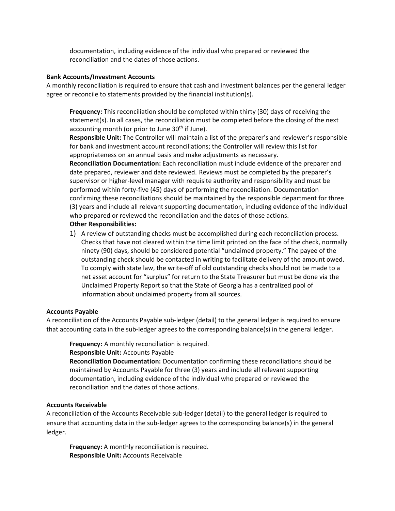documentation, including evidence of the individual who prepared or reviewed the reconciliation and the dates of those actions.

#### **Bank Accounts/Investment Accounts**

A monthly reconciliation is required to ensure that cash and investment balances per the general ledger agree or reconcile to statements provided by the financial institution(s).

**Frequency:** This reconciliation should be completed within thirty (30) days of receiving the statement(s). In all cases, the reconciliation must be completed before the closing of the next accounting month (or prior to June 30<sup>th</sup> if June).

**Responsible Unit:** The Controller will maintain a list of the preparer's and reviewer's responsible for bank and investment account reconciliations; the Controller will review this list for appropriateness on an annual basis and make adjustments as necessary.

**Reconciliation Documentation:** Each reconciliation must include evidence of the preparer and date prepared, reviewer and date reviewed. Reviews must be completed by the preparer's supervisor or higher‐level manager with requisite authority and responsibility and must be performed within forty‐five (45) days of performing the reconciliation. Documentation confirming these reconciliations should be maintained by the responsible department for three (3) years and include all relevant supporting documentation, including evidence of the individual who prepared or reviewed the reconciliation and the dates of those actions.

## **Other Responsibilities:**

1) A review of outstanding checks must be accomplished during each reconciliation process. Checks that have not cleared within the time limit printed on the face of the check, normally ninety (90) days, should be considered potential "unclaimed property." The payee of the outstanding check should be contacted in writing to facilitate delivery of the amount owed. To comply with state law, the write‐off of old outstanding checks should not be made to a net asset account for "surplus" for return to the State Treasurer but must be done via the Unclaimed Property Report so that the State of Georgia has a centralized pool of information about unclaimed property from all sources.

#### **Accounts Payable**

A reconciliation of the Accounts Payable sub‐ledger (detail) to the general ledger is required to ensure that accounting data in the sub-ledger agrees to the corresponding balance(s) in the general ledger.

**Frequency:** A monthly reconciliation is required.

#### **Responsible Unit:** Accounts Payable

**Reconciliation Documentation:** Documentation confirming these reconciliations should be maintained by Accounts Payable for three (3) years and include all relevant supporting documentation, including evidence of the individual who prepared or reviewed the reconciliation and the dates of those actions.

## **Accounts Receivable**

A reconciliation of the Accounts Receivable sub‐ledger (detail) to the general ledger is required to ensure that accounting data in the sub-ledger agrees to the corresponding balance(s) in the general ledger.

**Frequency:** A monthly reconciliation is required. **Responsible Unit:** Accounts Receivable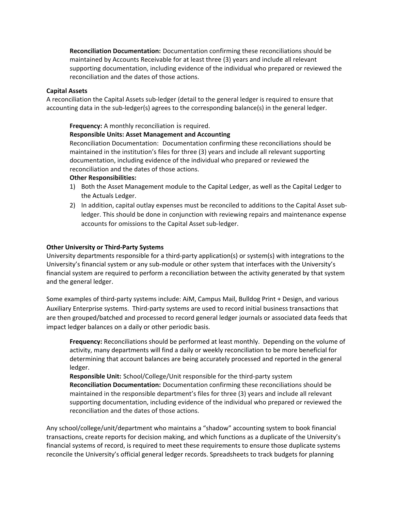**Reconciliation Documentation:** Documentation confirming these reconciliations should be maintained by Accounts Receivable for at least three (3) years and include all relevant supporting documentation, including evidence of the individual who prepared or reviewed the reconciliation and the dates of those actions.

## **Capital Assets**

A reconciliation the Capital Assets sub‐ledger (detail to the general ledger is required to ensure that accounting data in the sub-ledger(s) agrees to the corresponding balance(s) in the general ledger.

## **Frequency:** A monthly reconciliation is required.

## **Responsible Units: Asset Management and Accounting**

Reconciliation Documentation: Documentation confirming these reconciliations should be maintained in the institution's files for three (3) years and include all relevant supporting documentation, including evidence of the individual who prepared or reviewed the reconciliation and the dates of those actions.

## **Other Responsibilities:**

- 1) Both the Asset Management module to the Capital Ledger, as well as the Capital Ledger to the Actuals Ledger.
- 2) In addition, capital outlay expenses must be reconciled to additions to the Capital Asset subledger. This should be done in conjunction with reviewing repairs and maintenance expense accounts for omissions to the Capital Asset sub‐ledger.

## **Other University or Third‐Party Systems**

University departments responsible for a third‐party application(s) or system(s) with integrations to the University's financial system or any sub‐module or other system that interfaces with the University's financial system are required to perform a reconciliation between the activity generated by that system and the general ledger.

Some examples of third-party systems include: AiM, Campus Mail, Bulldog Print + Design, and various Auxiliary Enterprise systems. Third‐party systems are used to record initial business transactions that are then grouped/batched and processed to record general ledger journals or associated data feeds that impact ledger balances on a daily or other periodic basis.

**Frequency:** Reconciliations should be performed at least monthly. Depending on the volume of activity, many departments will find a daily or weekly reconciliation to be more beneficial for determining that account balances are being accurately processed and reported in the general ledger.

**Responsible Unit:** School/College/Unit responsible for the third‐party system **Reconciliation Documentation:** Documentation confirming these reconciliations should be maintained in the responsible department's files for three (3) years and include all relevant supporting documentation, including evidence of the individual who prepared or reviewed the reconciliation and the dates of those actions.

Any school/college/unit/department who maintains a "shadow" accounting system to book financial transactions, create reports for decision making, and which functions as a duplicate of the University's financial systems of record, is required to meet these requirements to ensure those duplicate systems reconcile the University's official general ledger records. Spreadsheets to track budgets for planning